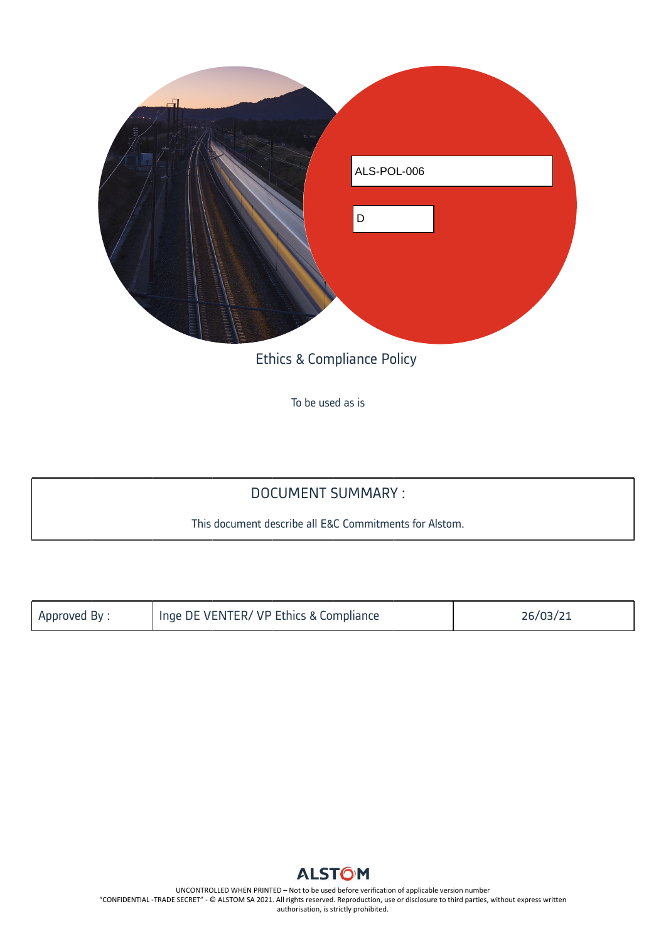

Ethics & Compliance Policy

To be used as is

## DOCUMENT SUMMARY :

This document describe all E&C Commitments for Alstom.

| Approved By: | I Inge DE VENTER/ VP Ethics & Compliance | 26/03/21 |
|--------------|------------------------------------------|----------|
|              |                                          |          |